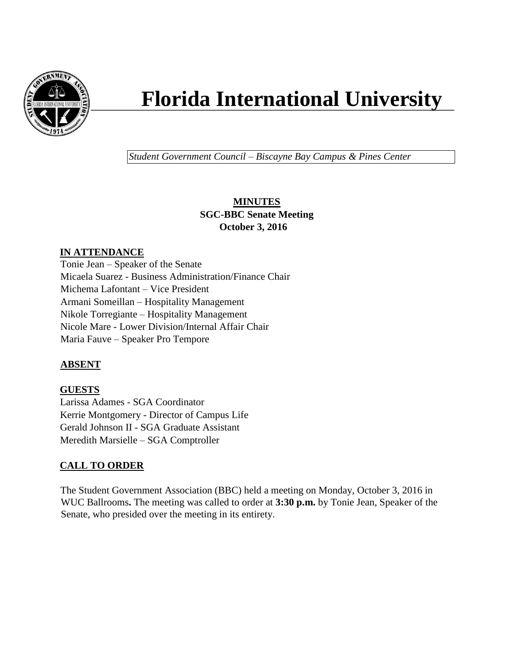

# **Florida International University**

*Student Government Council – Biscayne Bay Campus & Pines Center*

## **MINUTES SGC-BBC Senate Meeting October 3, 2016**

## **IN ATTENDANCE**

Tonie Jean – Speaker of the Senate Micaela Suarez - Business Administration/Finance Chair Michema Lafontant – Vice President Armani Someillan – Hospitality Management Nikole Torregiante – Hospitality Management Nicole Mare - Lower Division/Internal Affair Chair Maria Fauve – Speaker Pro Tempore

## **ABSENT**

## **GUESTS**

Larissa Adames - SGA Coordinator Kerrie Montgomery - Director of Campus Life Gerald Johnson II - SGA Graduate Assistant Meredith Marsielle – SGA Comptroller

# **CALL TO ORDER**

The Student Government Association (BBC) held a meeting on Monday, October 3, 2016 in WUC Ballrooms**.** The meeting was called to order at **3:30 p.m.** by Tonie Jean, Speaker of the Senate, who presided over the meeting in its entirety.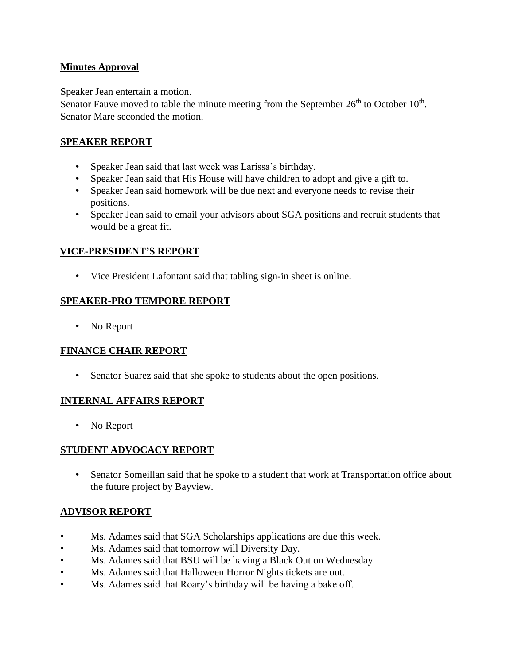#### **Minutes Approval**

Speaker Jean entertain a motion.

Senator Fauve moved to table the minute meeting from the September  $26<sup>th</sup>$  to October  $10<sup>th</sup>$ . Senator Mare seconded the motion.

## **SPEAKER REPORT**

- Speaker Jean said that last week was Larissa's birthday.
- Speaker Jean said that His House will have children to adopt and give a gift to.
- Speaker Jean said homework will be due next and everyone needs to revise their positions.
- Speaker Jean said to email your advisors about SGA positions and recruit students that would be a great fit.

#### **VICE-PRESIDENT'S REPORT**

• Vice President Lafontant said that tabling sign-in sheet is online.

## **SPEAKER-PRO TEMPORE REPORT**

• No Report

#### **FINANCE CHAIR REPORT**

• Senator Suarez said that she spoke to students about the open positions.

#### **INTERNAL AFFAIRS REPORT**

• No Report

#### **STUDENT ADVOCACY REPORT**

• Senator Someillan said that he spoke to a student that work at Transportation office about the future project by Bayview.

#### **ADVISOR REPORT**

- Ms. Adames said that SGA Scholarships applications are due this week.
- Ms. Adames said that tomorrow will Diversity Day.
- Ms. Adames said that BSU will be having a Black Out on Wednesday.
- Ms. Adames said that Halloween Horror Nights tickets are out.
- Ms. Adames said that Roary's birthday will be having a bake off.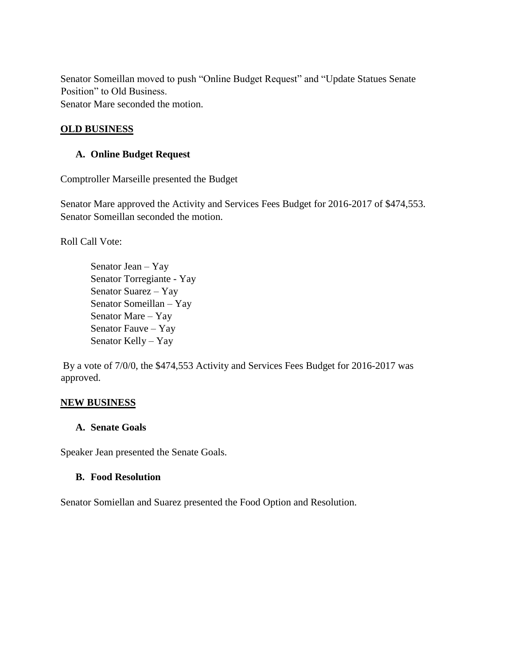Senator Someillan moved to push "Online Budget Request" and "Update Statues Senate Position" to Old Business. Senator Mare seconded the motion.

#### **OLD BUSINESS**

#### **A. Online Budget Request**

Comptroller Marseille presented the Budget

Senator Mare approved the Activity and Services Fees Budget for 2016-2017 of \$474,553. Senator Someillan seconded the motion.

Roll Call Vote:

Senator Jean – Yay Senator Torregiante - Yay Senator Suarez – Yay Senator Someillan – Yay Senator Mare – Yay Senator Fauve – Yay Senator Kelly – Yay

By a vote of 7/0/0, the \$474,553 Activity and Services Fees Budget for 2016-2017 was approved.

#### **NEW BUSINESS**

#### **A. Senate Goals**

Speaker Jean presented the Senate Goals.

#### **B. Food Resolution**

Senator Somiellan and Suarez presented the Food Option and Resolution.